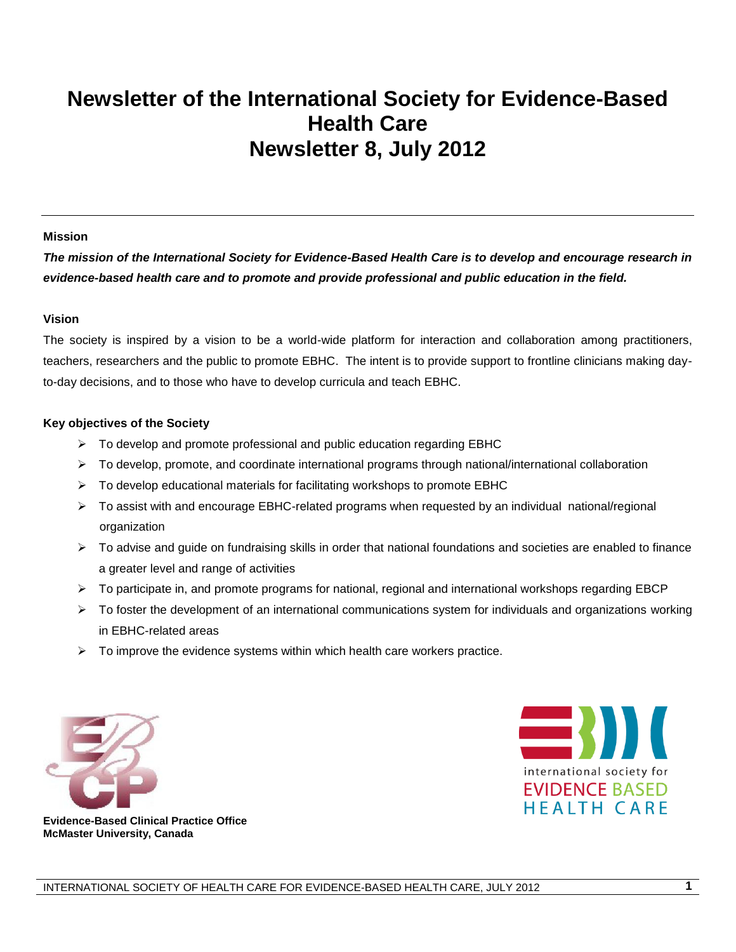## **Newsletter of the International Society for Evidence-Based Health Care Newsletter 8, July 2012**

#### **Mission**

*The mission of the International Society for Evidence-Based Health Care is to develop and encourage research in evidence-based health care and to promote and provide professional and public education in the field.*

#### **Vision**

The society is inspired by a vision to be a world-wide platform for interaction and collaboration among practitioners, teachers, researchers and the public to promote EBHC. The intent is to provide support to frontline clinicians making dayto-day decisions, and to those who have to develop curricula and teach EBHC.

#### **Key objectives of the Society**

- $\triangleright$  To develop and promote professional and public education regarding EBHC
- $\triangleright$  To develop, promote, and coordinate international programs through national/international collaboration
- $\triangleright$  To develop educational materials for facilitating workshops to promote EBHC
- To assist with and encourage EBHC-related programs when requested by an individual national/regional organization
- $\triangleright$  To advise and guide on fundraising skills in order that national foundations and societies are enabled to finance a greater level and range of activities
- $\triangleright$  To participate in, and promote programs for national, regional and international workshops regarding EBCP
- $\triangleright$  To foster the development of an international communications system for individuals and organizations working in EBHC-related areas
- $\triangleright$  To improve the evidence systems within which health care workers practice.





**Evidence-Based Clinical Practice Office McMaster University, Canada**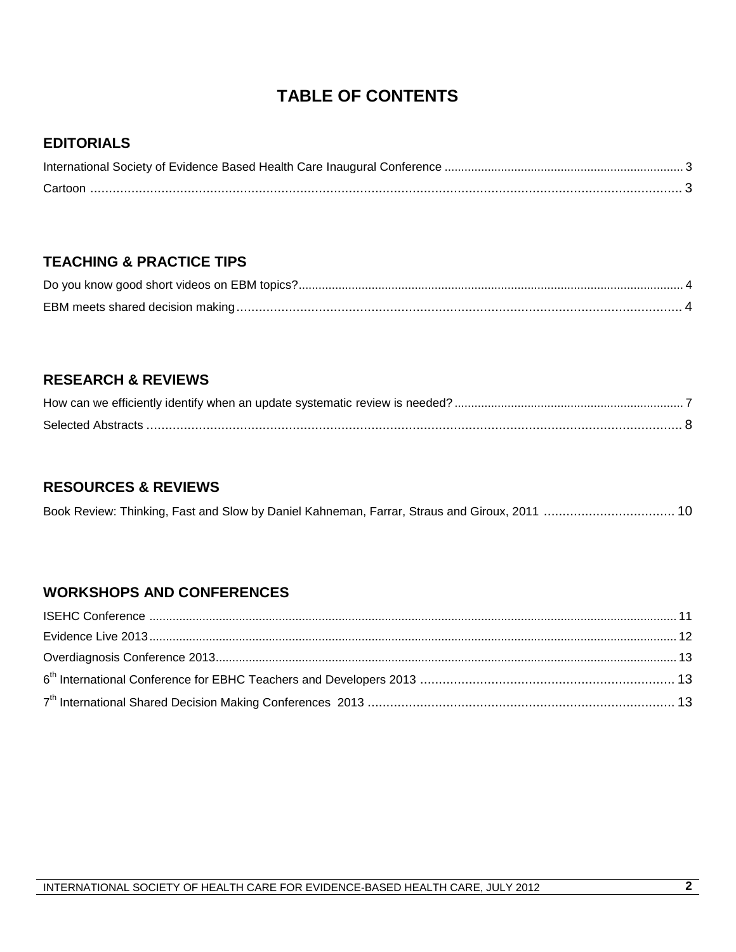## **TABLE OF CONTENTS**

#### **EDITORIALS**

#### **TEACHING & PRACTICE TIPS**

### **RESEARCH & REVIEWS**

### **RESOURCES & REVIEWS**

### **WORKSHOPS AND CONFERENCES**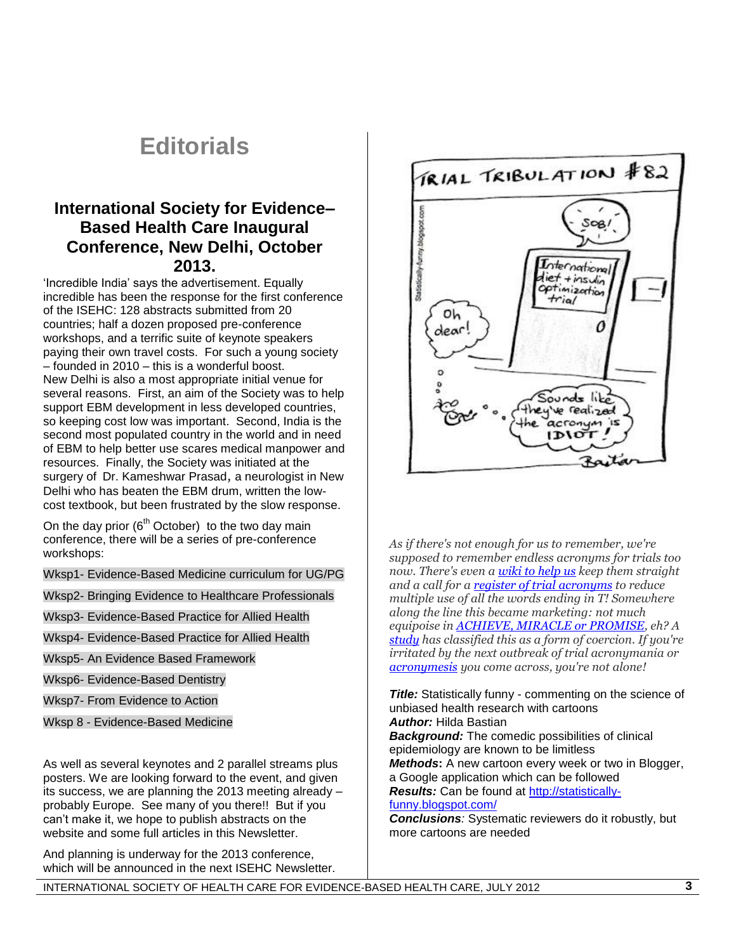## **Editorials**

### **International Society for Evidence– Based Health Care Inaugural Conference, New Delhi, October 2013.**

"Incredible India" says the advertisement. Equally incredible has been the response for the first conference of the ISEHC: 128 abstracts submitted from 20 countries; half a dozen proposed pre-conference workshops, and a terrific suite of keynote speakers paying their own travel costs. For such a young society – founded in 2010 – this is a wonderful boost. New Delhi is also a most appropriate initial venue for several reasons. First, an aim of the Society was to help support EBM development in less developed countries, so keeping cost low was important. Second, India is the second most populated country in the world and in need of EBM to help better use scares medical manpower and resources. Finally, the Society was initiated at the surgery of Dr. Kameshwar Prasad, a neurologist in New Delhi who has beaten the EBM drum, written the lowcost textbook, but been frustrated by the slow response.

On the day prior  $(6<sup>th</sup> October)$  to the two day main conference, there will be a series of pre-conference workshops:

Wksp1- Evidence-Based Medicine curriculum for UG/PG

Wksp2- Bringing Evidence to Healthcare Professionals

Wksp3- Evidence-Based Practice for Allied Health

Wksp4- Evidence-Based Practice for Allied Health

Wksp5- An Evidence Based Framework

Wksp6- Evidence-Based Dentistry

Wksp7- From Evidence to Action

Wksp 8 - Evidence-Based Medicine

As well as several keynotes and 2 parallel streams plus posters. We are looking forward to the event, and given its success, we are planning the 2013 meeting already – probably Europe. See many of you there!! But if you can"t make it, we hope to publish abstracts on the website and some full articles in this Newsletter.

And planning is underway for the 2013 conference, which will be announced in the next ISEHC Newsletter.



*As if there's not enough for us to remember, we're supposed to remember endless acronyms for trials too now. There's even [a wiki to help us](http://www.wikidoc.org/index.php/Acronyms_of_Clinical_Trial_Names) keep them straight and a call for a [register of trial](http://www.sciencedirect.com/science/article/pii/S0140673603152841) acronyms to reduce multiple use of all the words ending in T! Somewhere along the line this became marketing: not much equipoise in [ACHIEVE, MIRACLE or PROMISE,](http://www.sciencedirect.com/science/article/pii/S0167527308013648) eh? A [study](http://chestjournal.chestpubs.org/content/121/6/2023.short) has classified this as a form of coercion. If you're irritated by the next outbreak of trial acronymania or [acronymesis](http://www.ncbi.nlm.nih.gov/pmc/articles/PMC307708/) you come across, you're not alone!*

**Title:** Statistically funny - commenting on the science of unbiased health research with cartoons *Author:* Hilda Bastian

*Background:* The comedic possibilities of clinical epidemiology are known to be limitless *Methods***:** A new cartoon every week or two in Blogger, a Google application which can be followed *Results:* Can be found at [http://statistically-](http://statistically-funny.blogspot.com/)

#### [funny.blogspot.com/](http://statistically-funny.blogspot.com/)

*Conclusions:* Systematic reviewers do it robustly, but more cartoons are needed

INTERNATIONAL SOCIETY OF HEALTH CARE FOR EVIDENCE-BASED HEALTH CARE, JULY 2012 **3**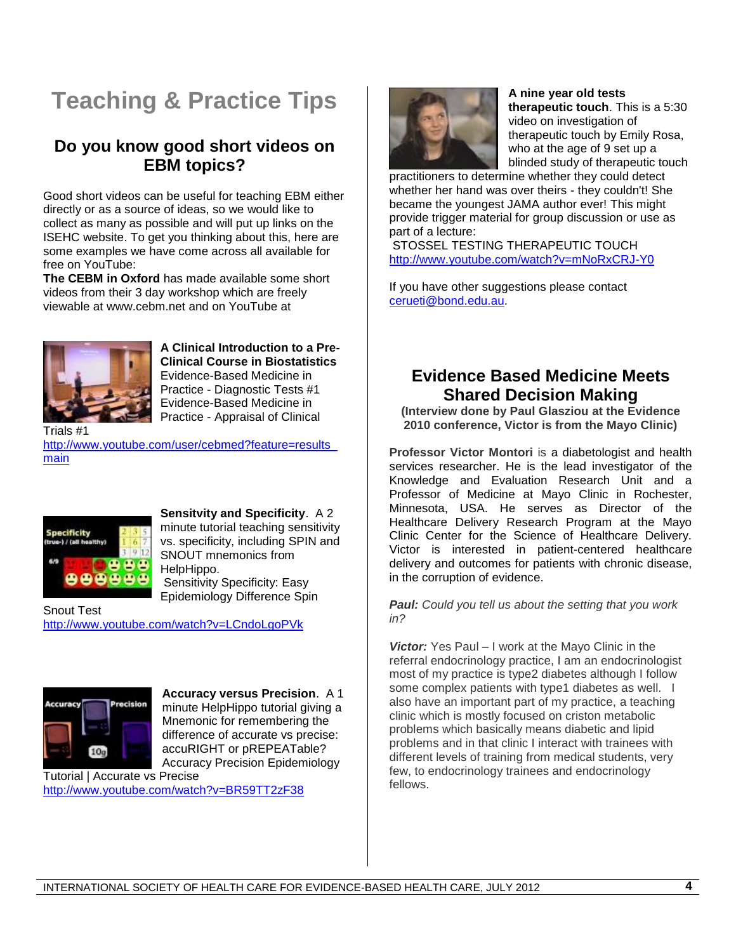# **Teaching & Practice Tips**

### **Do you know good short videos on EBM topics?**

Good short videos can be useful for teaching EBM either directly or as a source of ideas, so we would like to collect as many as possible and will put up links on the ISEHC website. To get you thinking about this, here are some examples we have come across all available for free on YouTube:

**The CEBM in Oxford** has made available some short videos from their 3 day workshop which are freely viewable at www.cebm.net and on YouTube at



**A Clinical Introduction to a Pre-Clinical Course in Biostatistics** Evidence-Based Medicine in Practice - Diagnostic Tests #1 Evidence-Based Medicine in Practice - Appraisal of Clinical

Trials #1

[http://www.youtube.com/user/cebmed?feature=results\\_](http://www.youtube.com/user/cebmed?feature=results_main) [main](http://www.youtube.com/user/cebmed?feature=results_main)



**Sensitvity and Specificity**. A 2 minute tutorial teaching sensitivity vs. specificity, including SPIN and SNOUT mnemonics from HelpHippo. Sensitivity Specificity: Easy Epidemiology Difference Spin

Snout Test <http://www.youtube.com/watch?v=LCndoLgoPVk>



**Accuracy versus Precision**. A 1 minute HelpHippo tutorial giving a Mnemonic for remembering the difference of accurate vs precise: accuRIGHT or pREPEATable? Accuracy Precision Epidemiology

Tutorial | Accurate vs Precise <http://www.youtube.com/watch?v=BR59TT2zF38>



**A nine year old tests therapeutic touch**. This is a 5:30 video on investigation of therapeutic touch by Emily Rosa, who at the age of 9 set up a blinded study of therapeutic touch

practitioners to determine whether they could detect whether her hand was over theirs - they couldn't! She became the youngest JAMA author ever! This might provide trigger material for group discussion or use as part of a lecture:

STOSSEL TESTING THERAPEUTIC TOUCH <http://www.youtube.com/watch?v=mNoRxCRJ-Y0>

If you have other suggestions please contact [cerueti@bond.edu.au.](mailto:cerueti@bond.edu.au)

## **Evidence Based Medicine Meets Shared Decision Making**

**(Interview done by Paul Glasziou at the Evidence 2010 conference, Victor is from the Mayo Clinic)**

**Professor Victor Montori** is a diabetologist and health services researcher. He is the lead investigator of the Knowledge and Evaluation Research Unit and a Professor of Medicine at Mayo Clinic in Rochester, Minnesota, USA. He serves as Director of the Healthcare Delivery Research Program at the Mayo Clinic Center for the Science of Healthcare Delivery. Victor is interested in patient-centered healthcare delivery and outcomes for patients with chronic disease, in the corruption of evidence.

*Paul: Could you tell us about the setting that you work in?*

*Victor:* Yes Paul – I work at the Mayo Clinic in the referral endocrinology practice, I am an endocrinologist most of my practice is type2 diabetes although I follow some complex patients with type1 diabetes as well. I also have an important part of my practice, a teaching clinic which is mostly focused on criston metabolic problems which basically means diabetic and lipid problems and in that clinic I interact with trainees with different levels of training from medical students, very few, to endocrinology trainees and endocrinology fellows.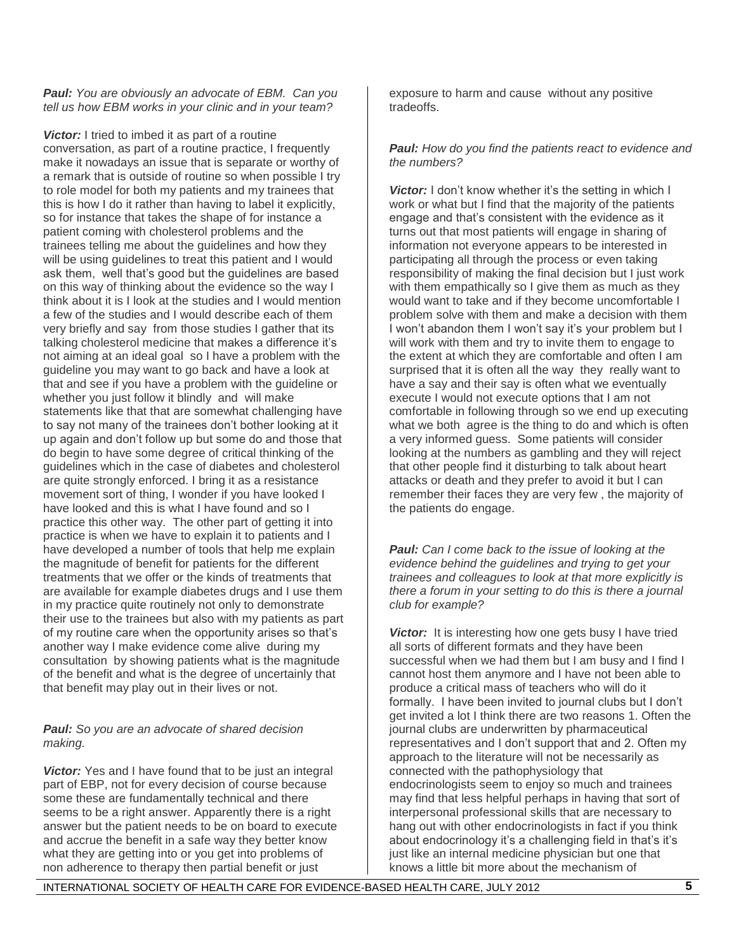#### *Paul: You are obviously an advocate of EBM. Can you tell us how EBM works in your clinic and in your team?*

**Victor:** I tried to imbed it as part of a routine conversation, as part of a routine practice, I frequently make it nowadays an issue that is separate or worthy of a remark that is outside of routine so when possible I try to role model for both my patients and my trainees that this is how I do it rather than having to label it explicitly, so for instance that takes the shape of for instance a patient coming with cholesterol problems and the trainees telling me about the guidelines and how they will be using guidelines to treat this patient and I would ask them, well that"s good but the guidelines are based on this way of thinking about the evidence so the way I think about it is I look at the studies and I would mention a few of the studies and I would describe each of them very briefly and say from those studies I gather that its talking cholesterol medicine that makes a difference it's not aiming at an ideal goal so I have a problem with the guideline you may want to go back and have a look at that and see if you have a problem with the guideline or whether you just follow it blindly and will make statements like that that are somewhat challenging have to say not many of the trainees don"t bother looking at it up again and don"t follow up but some do and those that do begin to have some degree of critical thinking of the guidelines which in the case of diabetes and cholesterol are quite strongly enforced. I bring it as a resistance movement sort of thing, I wonder if you have looked I have looked and this is what I have found and so I practice this other way. The other part of getting it into practice is when we have to explain it to patients and I have developed a number of tools that help me explain the magnitude of benefit for patients for the different treatments that we offer or the kinds of treatments that are available for example diabetes drugs and I use them in my practice quite routinely not only to demonstrate their use to the trainees but also with my patients as part of my routine care when the opportunity arises so that"s another way I make evidence come alive during my consultation by showing patients what is the magnitude of the benefit and what is the degree of uncertainly that that benefit may play out in their lives or not.

#### *Paul: So you are an advocate of shared decision making.*

*Victor:* Yes and I have found that to be just an integral part of EBP, not for every decision of course because some these are fundamentally technical and there seems to be a right answer. Apparently there is a right answer but the patient needs to be on board to execute and accrue the benefit in a safe way they better know what they are getting into or you get into problems of non adherence to therapy then partial benefit or just

exposure to harm and cause without any positive tradeoffs.

#### *Paul: How do you find the patients react to evidence and the numbers?*

**Victor:** I don't know whether it's the setting in which I work or what but I find that the majority of the patients engage and that"s consistent with the evidence as it turns out that most patients will engage in sharing of information not everyone appears to be interested in participating all through the process or even taking responsibility of making the final decision but I just work with them empathically so I give them as much as they would want to take and if they become uncomfortable I problem solve with them and make a decision with them I won't abandon them I won't say it's your problem but I will work with them and try to invite them to engage to the extent at which they are comfortable and often I am surprised that it is often all the way they really want to have a say and their say is often what we eventually execute I would not execute options that I am not comfortable in following through so we end up executing what we both agree is the thing to do and which is often a very informed guess. Some patients will consider looking at the numbers as gambling and they will reject that other people find it disturbing to talk about heart attacks or death and they prefer to avoid it but I can remember their faces they are very few , the majority of the patients do engage.

*Paul: Can I come back to the issue of looking at the evidence behind the guidelines and trying to get your trainees and colleagues to look at that more explicitly is there a forum in your setting to do this is there a journal club for example?*

**Victor:** It is interesting how one gets busy I have tried all sorts of different formats and they have been successful when we had them but I am busy and I find I cannot host them anymore and I have not been able to produce a critical mass of teachers who will do it formally. I have been invited to journal clubs but I don"t get invited a lot I think there are two reasons 1. Often the journal clubs are underwritten by pharmaceutical representatives and I don"t support that and 2. Often my approach to the literature will not be necessarily as connected with the pathophysiology that endocrinologists seem to enjoy so much and trainees may find that less helpful perhaps in having that sort of interpersonal professional skills that are necessary to hang out with other endocrinologists in fact if you think about endocrinology it's a challenging field in that's it's just like an internal medicine physician but one that knows a little bit more about the mechanism of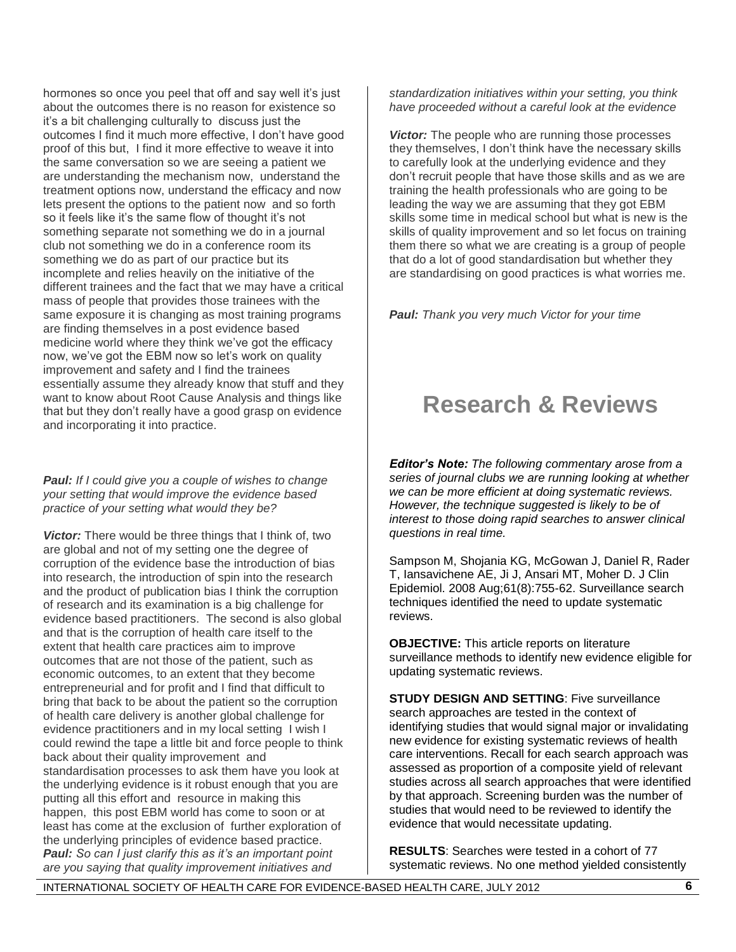hormones so once you peel that off and say well it's just about the outcomes there is no reason for existence so it"s a bit challenging culturally to discuss just the outcomes I find it much more effective, I don"t have good proof of this but, I find it more effective to weave it into the same conversation so we are seeing a patient we are understanding the mechanism now, understand the treatment options now, understand the efficacy and now lets present the options to the patient now and so forth so it feels like it's the same flow of thought it's not something separate not something we do in a journal club not something we do in a conference room its something we do as part of our practice but its incomplete and relies heavily on the initiative of the different trainees and the fact that we may have a critical mass of people that provides those trainees with the same exposure it is changing as most training programs are finding themselves in a post evidence based medicine world where they think we"ve got the efficacy now, we've got the EBM now so let's work on quality improvement and safety and I find the trainees essentially assume they already know that stuff and they want to know about Root Cause Analysis and things like that but they don"t really have a good grasp on evidence and incorporating it into practice.

#### *Paul: If I could give you a couple of wishes to change your setting that would improve the evidence based practice of your setting what would they be?*

*Victor:* There would be three things that I think of, two are global and not of my setting one the degree of corruption of the evidence base the introduction of bias into research, the introduction of spin into the research and the product of publication bias I think the corruption of research and its examination is a big challenge for evidence based practitioners. The second is also global and that is the corruption of health care itself to the extent that health care practices aim to improve outcomes that are not those of the patient, such as economic outcomes, to an extent that they become entrepreneurial and for profit and I find that difficult to bring that back to be about the patient so the corruption of health care delivery is another global challenge for evidence practitioners and in my local setting I wish I could rewind the tape a little bit and force people to think back about their quality improvement and standardisation processes to ask them have you look at the underlying evidence is it robust enough that you are putting all this effort and resource in making this happen, this post EBM world has come to soon or at least has come at the exclusion of further exploration of the underlying principles of evidence based practice. *Paul: So can I just clarify this as it's an important point are you saying that quality improvement initiatives and* 

*standardization initiatives within your setting, you think have proceeded without a careful look at the evidence* 

*Victor:* The people who are running those processes they themselves, I don"t think have the necessary skills to carefully look at the underlying evidence and they don"t recruit people that have those skills and as we are training the health professionals who are going to be leading the way we are assuming that they got EBM skills some time in medical school but what is new is the skills of quality improvement and so let focus on training them there so what we are creating is a group of people that do a lot of good standardisation but whether they are standardising on good practices is what worries me.

*Paul: Thank you very much Victor for your time*

## **Research & Reviews**

*Editor's Note: The following commentary arose from a series of journal clubs we are running looking at whether we can be more efficient at doing systematic reviews. However, the technique suggested is likely to be of interest to those doing rapid searches to answer clinical questions in real time.*

Sampson M, Shojania KG, McGowan J, Daniel R, Rader T, Iansavichene AE, Ji J, Ansari MT, Moher D. J Clin Epidemiol. 2008 Aug;61(8):755-62. Surveillance search techniques identified the need to update systematic reviews.

**OBJECTIVE:** This article reports on literature surveillance methods to identify new evidence eligible for updating systematic reviews.

**STUDY DESIGN AND SETTING: Five surveillance** search approaches are tested in the context of identifying studies that would signal major or invalidating new evidence for existing systematic reviews of health care interventions. Recall for each search approach was assessed as proportion of a composite yield of relevant studies across all search approaches that were identified by that approach. Screening burden was the number of studies that would need to be reviewed to identify the evidence that would necessitate updating.

**RESULTS**: Searches were tested in a cohort of 77 systematic reviews. No one method yielded consistently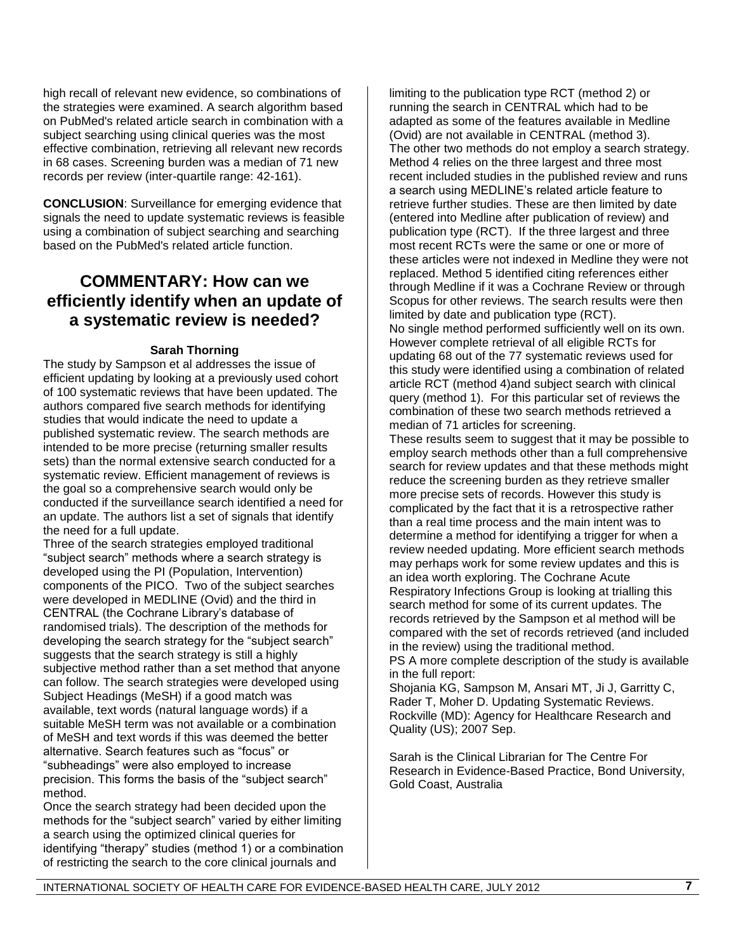high recall of relevant new evidence, so combinations of the strategies were examined. A search algorithm based on PubMed's related article search in combination with a subject searching using clinical queries was the most effective combination, retrieving all relevant new records in 68 cases. Screening burden was a median of 71 new records per review (inter-quartile range: 42-161).

**CONCLUSION**: Surveillance for emerging evidence that signals the need to update systematic reviews is feasible using a combination of subject searching and searching based on the PubMed's related article function.

### **COMMENTARY: How can we efficiently identify when an update of a systematic review is needed?**

#### **Sarah Thorning**

The study by Sampson et al addresses the issue of efficient updating by looking at a previously used cohort of 100 systematic reviews that have been updated. The authors compared five search methods for identifying studies that would indicate the need to update a published systematic review. The search methods are intended to be more precise (returning smaller results sets) than the normal extensive search conducted for a systematic review. Efficient management of reviews is the goal so a comprehensive search would only be conducted if the surveillance search identified a need for an update. The authors list a set of signals that identify the need for a full update.

Three of the search strategies employed traditional "subject search" methods where a search strategy is developed using the PI (Population, Intervention) components of the PICO. Two of the subject searches were developed in MEDLINE (Ovid) and the third in CENTRAL (the Cochrane Library"s database of randomised trials). The description of the methods for developing the search strategy for the "subject search" suggests that the search strategy is still a highly subjective method rather than a set method that anyone can follow. The search strategies were developed using Subject Headings (MeSH) if a good match was available, text words (natural language words) if a suitable MeSH term was not available or a combination of MeSH and text words if this was deemed the better alternative. Search features such as "focus" or "subheadings" were also employed to increase precision. This forms the basis of the "subject search" method.

Once the search strategy had been decided upon the methods for the "subject search" varied by either limiting a search using the optimized clinical queries for identifying "therapy" studies (method 1) or a combination of restricting the search to the core clinical journals and

limiting to the publication type RCT (method 2) or running the search in CENTRAL which had to be adapted as some of the features available in Medline (Ovid) are not available in CENTRAL (method 3). The other two methods do not employ a search strategy. Method 4 relies on the three largest and three most recent included studies in the published review and runs a search using MEDLINE"s related article feature to retrieve further studies. These are then limited by date (entered into Medline after publication of review) and publication type (RCT). If the three largest and three most recent RCTs were the same or one or more of these articles were not indexed in Medline they were not replaced. Method 5 identified citing references either through Medline if it was a Cochrane Review or through Scopus for other reviews. The search results were then limited by date and publication type (RCT). No single method performed sufficiently well on its own. However complete retrieval of all eligible RCTs for updating 68 out of the 77 systematic reviews used for this study were identified using a combination of related article RCT (method 4)and subject search with clinical query (method 1). For this particular set of reviews the combination of these two search methods retrieved a median of 71 articles for screening.

These results seem to suggest that it may be possible to employ search methods other than a full comprehensive search for review updates and that these methods might reduce the screening burden as they retrieve smaller more precise sets of records. However this study is complicated by the fact that it is a retrospective rather than a real time process and the main intent was to determine a method for identifying a trigger for when a review needed updating. More efficient search methods may perhaps work for some review updates and this is an idea worth exploring. The Cochrane Acute Respiratory Infections Group is looking at trialling this search method for some of its current updates. The records retrieved by the Sampson et al method will be compared with the set of records retrieved (and included in the review) using the traditional method.

PS A more complete description of the study is available in the full report:

Shojania KG, Sampson M, Ansari MT, Ji J, Garritty C, Rader T, Moher D. Updating Systematic Reviews. Rockville (MD): Agency for Healthcare Research and Quality (US); 2007 Sep.

Sarah is the Clinical Librarian for The Centre For Research in Evidence-Based Practice, Bond University, Gold Coast, Australia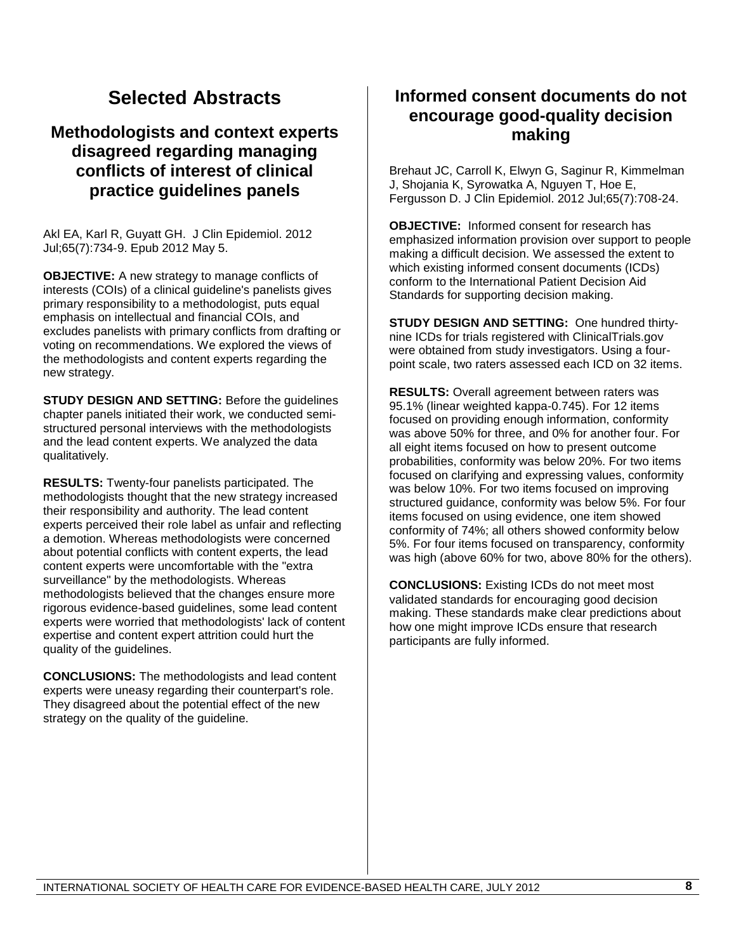## **Selected Abstracts**

### **Methodologists and context experts disagreed regarding managing conflicts of interest of clinical practice guidelines panels**

Akl EA, Karl R, Guyatt GH. J Clin Epidemiol. 2012 Jul;65(7):734-9. Epub 2012 May 5.

**OBJECTIVE:** A new strategy to manage conflicts of interests (COIs) of a clinical guideline's panelists gives primary responsibility to a methodologist, puts equal emphasis on intellectual and financial COIs, and excludes panelists with primary conflicts from drafting or voting on recommendations. We explored the views of the methodologists and content experts regarding the new strategy.

**STUDY DESIGN AND SETTING:** Before the guidelines chapter panels initiated their work, we conducted semistructured personal interviews with the methodologists and the lead content experts. We analyzed the data qualitatively.

**RESULTS:** Twenty-four panelists participated. The methodologists thought that the new strategy increased their responsibility and authority. The lead content experts perceived their role label as unfair and reflecting a demotion. Whereas methodologists were concerned about potential conflicts with content experts, the lead content experts were uncomfortable with the "extra surveillance" by the methodologists. Whereas methodologists believed that the changes ensure more rigorous evidence-based guidelines, some lead content experts were worried that methodologists' lack of content expertise and content expert attrition could hurt the quality of the guidelines.

**CONCLUSIONS:** The methodologists and lead content experts were uneasy regarding their counterpart's role. They disagreed about the potential effect of the new strategy on the quality of the guideline.

## **Informed consent documents do not encourage good-quality decision making**

Brehaut JC, Carroll K, Elwyn G, Saginur R, Kimmelman J, Shojania K, Syrowatka A, Nguyen T, Hoe E, Fergusson D. J Clin Epidemiol. 2012 Jul;65(7):708-24.

**OBJECTIVE:** Informed consent for research has emphasized information provision over support to people making a difficult decision. We assessed the extent to which existing informed consent documents (ICDs) conform to the International Patient Decision Aid Standards for supporting decision making.

**STUDY DESIGN AND SETTING:** One hundred thirtynine ICDs for trials registered with ClinicalTrials.gov were obtained from study investigators. Using a fourpoint scale, two raters assessed each ICD on 32 items.

**RESULTS:** Overall agreement between raters was 95.1% (linear weighted kappa-0.745). For 12 items focused on providing enough information, conformity was above 50% for three, and 0% for another four. For all eight items focused on how to present outcome probabilities, conformity was below 20%. For two items focused on clarifying and expressing values, conformity was below 10%. For two items focused on improving structured guidance, conformity was below 5%. For four items focused on using evidence, one item showed conformity of 74%; all others showed conformity below 5%. For four items focused on transparency, conformity was high (above 60% for two, above 80% for the others).

**CONCLUSIONS:** Existing ICDs do not meet most validated standards for encouraging good decision making. These standards make clear predictions about how one might improve ICDs ensure that research participants are fully informed.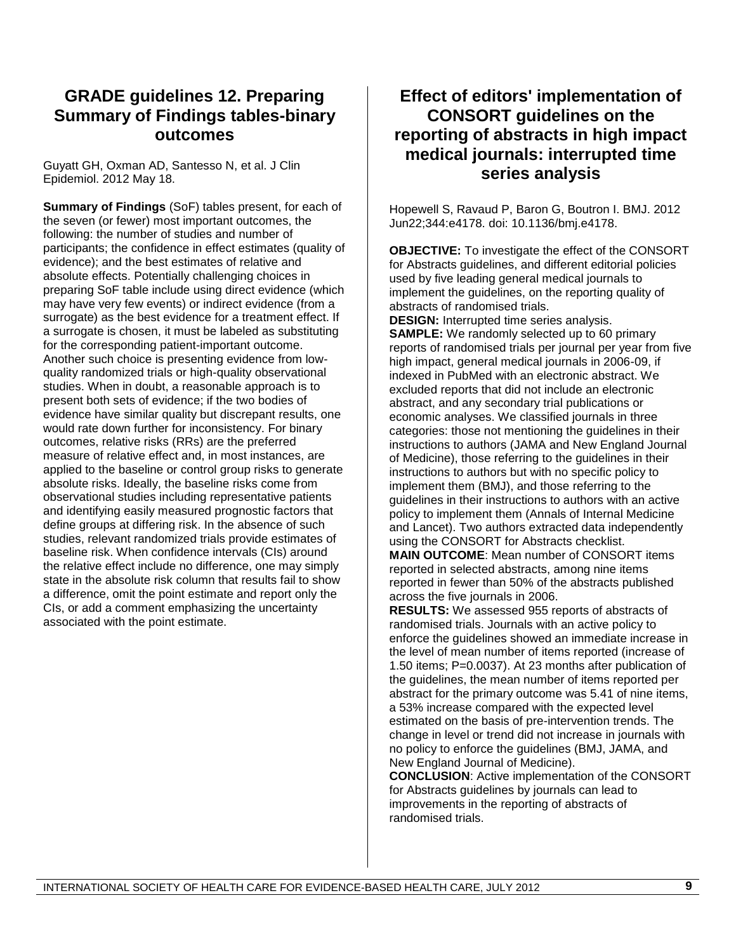## **GRADE guidelines 12. Preparing Summary of Findings tables-binary outcomes**

Guyatt GH, Oxman AD, Santesso N, et al. J Clin Epidemiol. 2012 May 18.

**Summary of Findings** (SoF) tables present, for each of the seven (or fewer) most important outcomes, the following: the number of studies and number of participants; the confidence in effect estimates (quality of evidence); and the best estimates of relative and absolute effects. Potentially challenging choices in preparing SoF table include using direct evidence (which may have very few events) or indirect evidence (from a surrogate) as the best evidence for a treatment effect. If a surrogate is chosen, it must be labeled as substituting for the corresponding patient-important outcome. Another such choice is presenting evidence from lowquality randomized trials or high-quality observational studies. When in doubt, a reasonable approach is to present both sets of evidence; if the two bodies of evidence have similar quality but discrepant results, one would rate down further for inconsistency. For binary outcomes, relative risks (RRs) are the preferred measure of relative effect and, in most instances, are applied to the baseline or control group risks to generate absolute risks. Ideally, the baseline risks come from observational studies including representative patients and identifying easily measured prognostic factors that define groups at differing risk. In the absence of such studies, relevant randomized trials provide estimates of baseline risk. When confidence intervals (CIs) around the relative effect include no difference, one may simply state in the absolute risk column that results fail to show a difference, omit the point estimate and report only the CIs, or add a comment emphasizing the uncertainty associated with the point estimate.

## **Effect of editors' implementation of CONSORT guidelines on the reporting of abstracts in high impact medical journals: interrupted time series analysis**

Hopewell S, Ravaud P, Baron G, Boutron I. BMJ. 2012 Jun22;344:e4178. doi: 10.1136/bmj.e4178.

**OBJECTIVE:** To investigate the effect of the CONSORT for Abstracts guidelines, and different editorial policies used by five leading general medical journals to implement the guidelines, on the reporting quality of abstracts of randomised trials.

**DESIGN:** Interrupted time series analysis. **SAMPLE:** We randomly selected up to 60 primary reports of randomised trials per journal per year from five high impact, general medical journals in 2006-09, if indexed in PubMed with an electronic abstract. We excluded reports that did not include an electronic abstract, and any secondary trial publications or economic analyses. We classified journals in three categories: those not mentioning the guidelines in their instructions to authors (JAMA and New England Journal of Medicine), those referring to the guidelines in their instructions to authors but with no specific policy to implement them (BMJ), and those referring to the guidelines in their instructions to authors with an active policy to implement them (Annals of Internal Medicine and Lancet). Two authors extracted data independently using the CONSORT for Abstracts checklist.

**MAIN OUTCOME**: Mean number of CONSORT items reported in selected abstracts, among nine items reported in fewer than 50% of the abstracts published across the five journals in 2006.

**RESULTS:** We assessed 955 reports of abstracts of randomised trials. Journals with an active policy to enforce the guidelines showed an immediate increase in the level of mean number of items reported (increase of 1.50 items; P=0.0037). At 23 months after publication of the guidelines, the mean number of items reported per abstract for the primary outcome was 5.41 of nine items, a 53% increase compared with the expected level estimated on the basis of pre-intervention trends. The change in level or trend did not increase in journals with no policy to enforce the guidelines (BMJ, JAMA, and New England Journal of Medicine).

**CONCLUSION**: Active implementation of the CONSORT for Abstracts guidelines by journals can lead to improvements in the reporting of abstracts of randomised trials.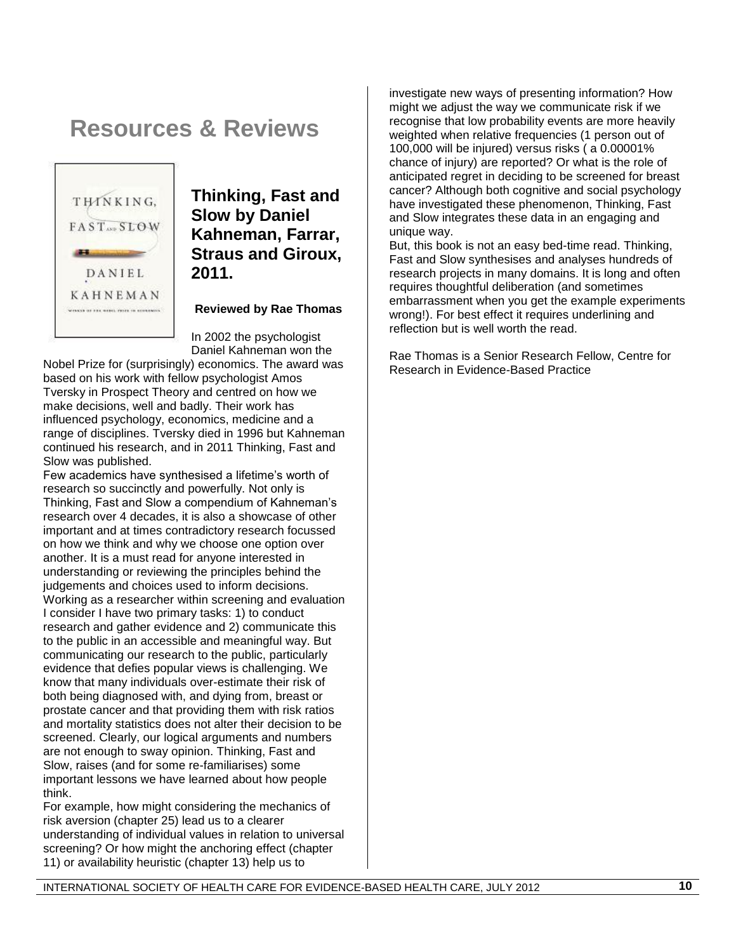## **Resources & Reviews**



## **Thinking, Fast and Slow by Daniel Kahneman, Farrar, Straus and Giroux, 2011.**

**Reviewed by Rae Thomas**

In 2002 the psychologist Daniel Kahneman won the

Nobel Prize for (surprisingly) economics. The award was based on his work with fellow psychologist Amos Tversky in Prospect Theory and centred on how we make decisions, well and badly. Their work has influenced psychology, economics, medicine and a range of disciplines. Tversky died in 1996 but Kahneman continued his research, and in 2011 Thinking, Fast and Slow was published.

Few academics have synthesised a lifetime"s worth of research so succinctly and powerfully. Not only is Thinking, Fast and Slow a compendium of Kahneman"s research over 4 decades, it is also a showcase of other important and at times contradictory research focussed on how we think and why we choose one option over another. It is a must read for anyone interested in understanding or reviewing the principles behind the judgements and choices used to inform decisions. Working as a researcher within screening and evaluation I consider I have two primary tasks: 1) to conduct research and gather evidence and 2) communicate this to the public in an accessible and meaningful way. But communicating our research to the public, particularly evidence that defies popular views is challenging. We know that many individuals over-estimate their risk of both being diagnosed with, and dying from, breast or prostate cancer and that providing them with risk ratios and mortality statistics does not alter their decision to be screened. Clearly, our logical arguments and numbers are not enough to sway opinion. Thinking, Fast and Slow, raises (and for some re-familiarises) some important lessons we have learned about how people think.

For example, how might considering the mechanics of risk aversion (chapter 25) lead us to a clearer understanding of individual values in relation to universal screening? Or how might the anchoring effect (chapter 11) or availability heuristic (chapter 13) help us to

investigate new ways of presenting information? How might we adjust the way we communicate risk if we recognise that low probability events are more heavily weighted when relative frequencies (1 person out of 100,000 will be injured) versus risks ( a 0.00001% chance of injury) are reported? Or what is the role of anticipated regret in deciding to be screened for breast cancer? Although both cognitive and social psychology have investigated these phenomenon, Thinking, Fast and Slow integrates these data in an engaging and unique way.

But, this book is not an easy bed-time read. Thinking, Fast and Slow synthesises and analyses hundreds of research projects in many domains. It is long and often requires thoughtful deliberation (and sometimes embarrassment when you get the example experiments wrong!). For best effect it requires underlining and reflection but is well worth the read.

Rae Thomas is a Senior Research Fellow, Centre for Research in Evidence-Based Practice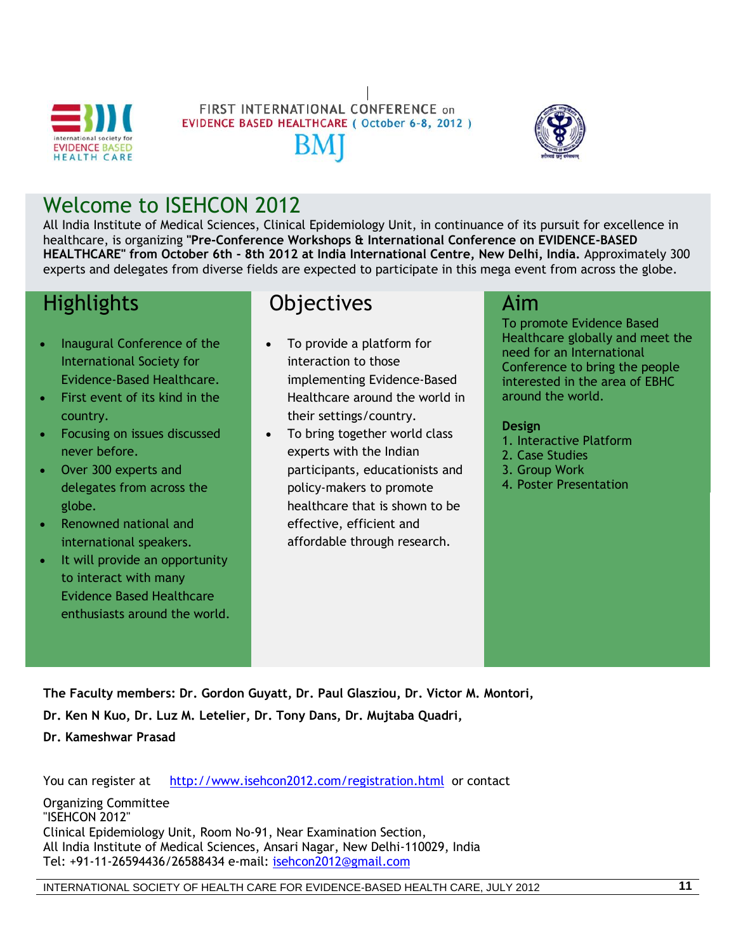

# FIRST INTERNATIONAL CONFERENCE on **EVIDENCE BASED HEALTHCARE (October 6-8, 2012)**



## Welcome to ISEHCON 2012

All India Institute of Medical Sciences, Clinical Epidemiology Unit, in continuance of its pursuit for excellence in healthcare, is organizing **"Pre-Conference Workshops & International Conference on EVIDENCE-BASED HEALTHCARE" from October 6th - 8th 2012 at India International Centre, New Delhi, India.** Approximately 300 experts and delegates from diverse fields are expected to participate in this mega event from across the globe.

## Highlights

- Inaugural Conference of the International Society for Evidence-Based Healthcare.
- First event of its kind in the country.
- Focusing on issues discussed never before.
- Over 300 experts and delegates from across the globe.
- Renowned national and international speakers.
- It will provide an opportunity to interact with many Evidence Based Healthcare enthusiasts around the world.

## **Objectives**

- To provide a platform for interaction to those implementing Evidence-Based Healthcare around the world in their settings/country.
- To bring together world class experts with the Indian participants, educationists and policy-makers to promote healthcare that is shown to be effective, efficient and affordable through research.

## Aim

To promote Evidence Based Healthcare globally and meet the need for an International Conference to bring the people interested in the area of EBHC around the world.

#### **Design**

- 1. Interactive Platform
- 2. Case Studies
- 3. Group Work
- 4. Poster Presentation

**The Faculty members: Dr. Gordon Guyatt, Dr. Paul Glasziou, Dr. Victor M. Montori, Dr. Ken N Kuo, Dr. Luz M. Letelier, Dr. Tony Dans, Dr. Mujtaba Quadri,** 

**Dr. Kameshwar Prasad**

You can register at <http://www.isehcon2012.com/registration.html>or contact

Organizing Committee "ISEHCON 2012" Clinical Epidemiology Unit, Room No-91, Near Examination Section, All India Institute of Medical Sciences, Ansari Nagar, New Delhi-110029, India Tel: +91-11-26594436/26588434 e-mail: [isehcon2012@gmail.com](mailto:isehcon2012@gmail.com)

INTERNATIONAL SOCIETY OF HEALTH CARE FOR EVIDENCE-BASED HEALTH CARE, JULY 2012 **11**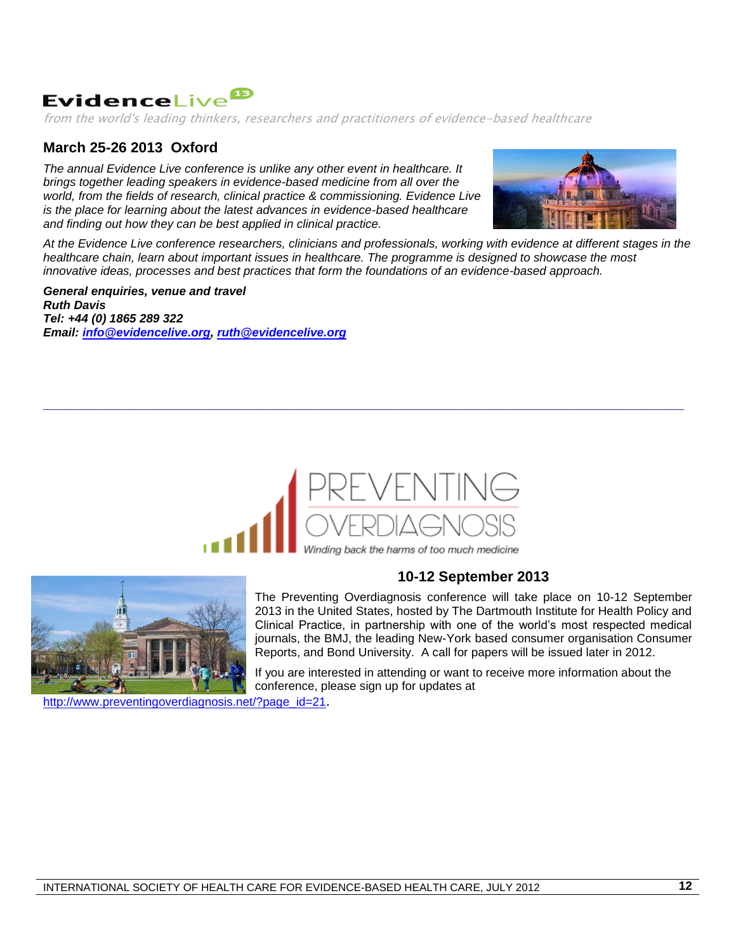## EvidenceLive<sup>18</sup>

from the world's leading thinkers, researchers and practitioners of evidence-based healthcare

#### **March 25-26 2013 Oxford**

*The annual Evidence Live conference is unlike any other event in healthcare. It brings together leading speakers in evidence-based medicine from all over the world, from the fields of research, clinical practice & commissioning. Evidence Live is the place for learning about the latest advances in evidence-based healthcare and finding out how they can be best applied in clinical practice.*



*At the Evidence Live conference researchers, clinicians and professionals, working with evidence at different stages in the healthcare chain, learn about important issues in healthcare. The programme is designed to showcase the most innovative ideas, processes and best practices that form the foundations of an evidence-based approach.*

*General enquiries, venue and travel Ruth Davis Tel: +44 (0) 1865 289 322 Email: [info@evidencelive.org,](mailto:info@evidencelive.org) [ruth@evidencelive.org](mailto:ruth@evidencelive.org)*



**\_\_\_\_\_\_\_\_\_\_\_\_\_\_\_\_\_\_\_\_\_\_\_\_\_\_\_\_\_\_\_\_\_\_\_\_\_\_\_\_\_\_\_\_\_\_\_\_\_\_\_\_\_\_\_\_\_\_\_\_\_\_\_\_\_\_\_\_\_\_\_\_\_\_\_\_\_\_\_\_**



#### **10-12 September 2013**

The Preventing Overdiagnosis conference will take place on 10-12 September 2013 in the United States, hosted by The Dartmouth Institute for Health Policy and Clinical Practice, in partnership with one of the world"s most respected medical journals, the BMJ, the leading New-York based consumer organisation Consumer Reports, and Bond University. A call for papers will be issued later in 2012.

If you are interested in attending or want to receive more information about the conference, please sign up for updates at

[http://www.preventingoverdiagnosis.net/?page\\_id=21](http://www.preventingoverdiagnosis.net/?page_id=21).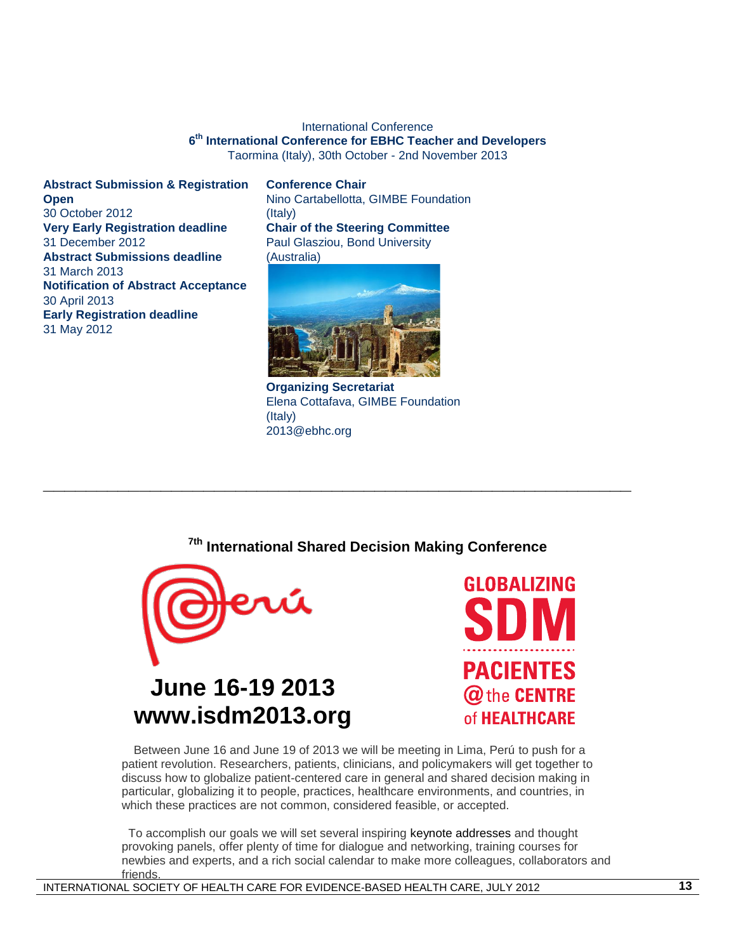#### International Conference **6 th International Conference for EBHC Teacher and Developers** Taormina (Italy), 30th October - 2nd November 2013

**Abstract Submission & Registration Open** 30 October 2012 **Very Early Registration deadline** 31 December 2012 **Abstract Submissions deadline** 31 March 2013 **Notification of Abstract Acceptance** 30 April 2013 **Early Registration deadline** 31 May 2012

#### **Conference Chair**

Nino Cartabellotta, GIMBE Foundation (Italy) **Chair of the Steering Committee** Paul Glasziou, Bond University (Australia)



**Organizing Secretariat** Elena Cottafava, GIMBE Foundation (Italy) 2013@ebhc.org

**\_\_\_\_\_\_\_\_\_\_\_\_\_\_\_\_\_\_\_\_\_\_\_\_\_\_\_\_\_\_\_\_\_\_\_\_\_\_\_\_\_\_\_\_\_\_\_\_\_\_\_\_\_\_\_** 

#### **7th International Shared Decision Making Conference**



# **June 16-19 2013 www.isdm2013.org**



 Between June 16 and June 19 of 2013 we will be meeting in Lima, Perú to push for a patient revolution. Researchers, patients, clinicians, and policymakers will get together to discuss how to globalize patient-centered care in general and shared decision making in particular, globalizing it to people, practices, healthcare environments, and countries, in which these practices are not common, considered feasible, or accepted.

 To accomplish our goals we will set several inspiring keynote addresses and thought provoking panels, offer plenty of time for dialogue and networking, training courses for newbies and experts, and a rich social calendar to make more colleagues, collaborators and friends